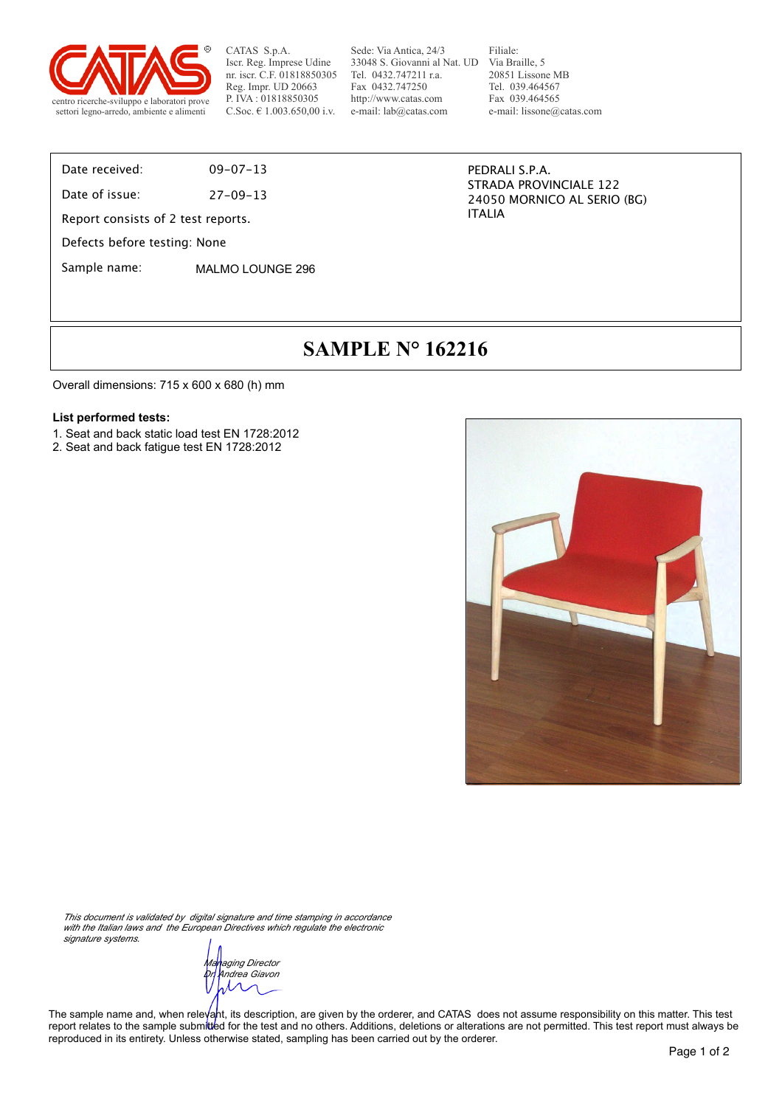

Sede: Via Antica, 24/3 33048 S. Giovanni al Nat. UD Via Braille, 5 Tel. 0432.747211 r.a. Fax 0432.747250 http://www.catas.com e-mail: lab@catas.com

Filiale: 20851 Lissone MB Tel. 039.464567 Fax 039.464565 e-mail: lissone@catas.com

Date received: 09-07-13

Date of issue: 27-09-13

Report consists of 2 test reports.

Defects before testing: None

Sample name: MALMO LOUNGE 296

PEDRALI S.P.A. STRADA PROVINCIALE 122 24050 MORNICO AL SERIO (BG) ITALIA

### **SAMPLE N° 162216**

Overall dimensions: 715 x 600 x 680 (h) mm

#### **List performed tests:**

- 1. Seat and back static load test EN 1728:2012
- 2. Seat and back fatigue test EN 1728:2012



*This document is validated by digital signature and time stamping in accordance with the Italian laws and the European Directives which regulate the electronic signature systems.*

*Managing Director Dr. Andrea Giavon*  $\lambda \wedge$ 

The sample name and, when releyant, its description, are given by the orderer, and CATAS does not assume responsibility on this matter. This test report relates to the sample submitted for the test and no others. Additions, deletions or alterations are not permitted. This test report must always be reproduced in its entirety. Unless otherwise stated, sampling has been carried out by the orderer.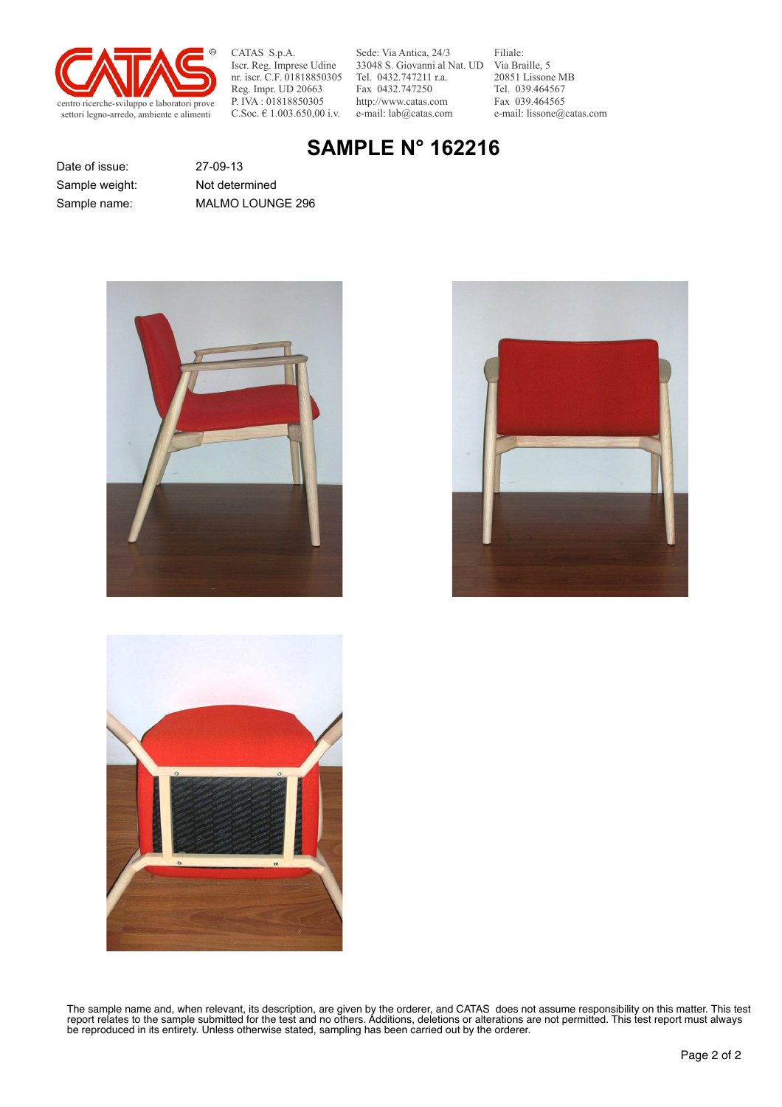

Sede: Via Antica, 24/3 33048 S. Giovanni al Nat. UD Via Braille, 5 Tel. 0432.747211 r.a. Fax 0432.747250 http://www.catas.com e-mail: lab@catas.com

Filiale: 20851 Lissone MB Tel. 039.464567 Fax 039.464565 e-mail: lissone@catas.com

### **SAMPLE N° 162216**

Date of issue: 27-09-13 Sample weight: Not determined

Sample name: MALMO LOUNGE 296







The sample name and, when relevant, its description, are given by the orderer, and CATAS does not assume responsibility on this matter. This test report relates to the sample submitted for the test and no others. Additions, deletions or alterations are not permitted. This test report must always be reproduced in its entirety. Unless otherwise stated, sampling has been carried out by the orderer.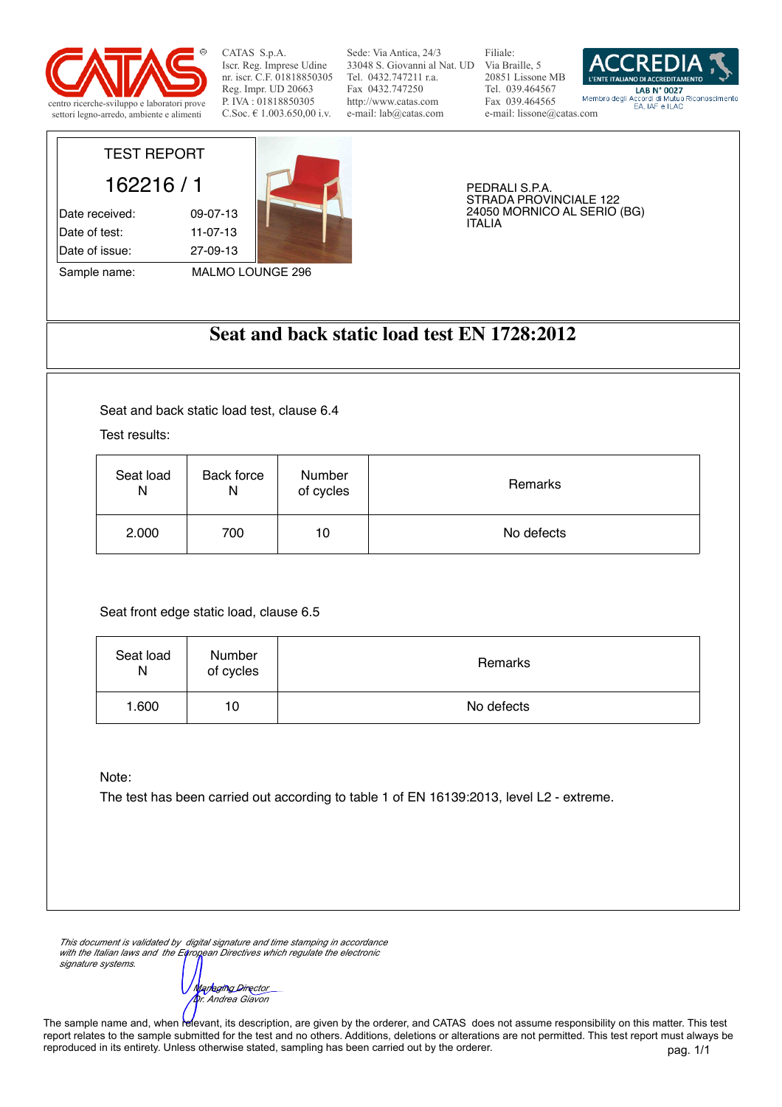

Sede: Via Antica, 24/3 33048 S. Giovanni al Nat. UD Via Braille, 5 Tel. 0432.747211 r.a. Fax 0432.747250 http://www.catas.com e-mail: lab@catas.com

Filiale: 20851 Lissone MB Tel. 039.464567 Fax 039.464565 e-mail: lissone@catas.com



# TEST REPORT

162216 / 1 Date received: 09-07-13 Date of test: 11-07-13 Date of issue: 27-09-13

Sample name: MALMO LOUNGE 296



PEDRALI S.P.A. STRADA PROVINCIALE 122 24050 MORNICO AL SERIO (BG) ITALIA

### **Seat and back static load test EN 1728:2012**

Seat and back static load test, clause 6.4

Test results:

| Seat load | Back force | Number    | Remarks    |
|-----------|------------|-----------|------------|
| N         | Ν          | of cycles |            |
| 2.000     | 700        | 10        | No defects |

Seat front edge static load, clause 6.5

| Seat load<br>N | Number<br>of cycles | Remarks    |
|----------------|---------------------|------------|
| 1.600          | 10                  | No defects |

Note:

The test has been carried out according to table 1 of EN 16139:2013, level L2 - extreme.

*This document is validated by digital signature and time stamping in accordance*  with the Italian laws and the European Directives which regulate the electronic *signature systems.*

*Managing Director Dr. Andrea Giavon*

pag. 1/1 The sample name and, when relevant, its description, are given by the orderer, and CATAS does not assume responsibility on this matter. This test report relates to the sample submitted for the test and no others. Additions, deletions or alterations are not permitted. This test report must always be reproduced in its entirety. Unless otherwise stated, sampling has been carried out by the orderer.